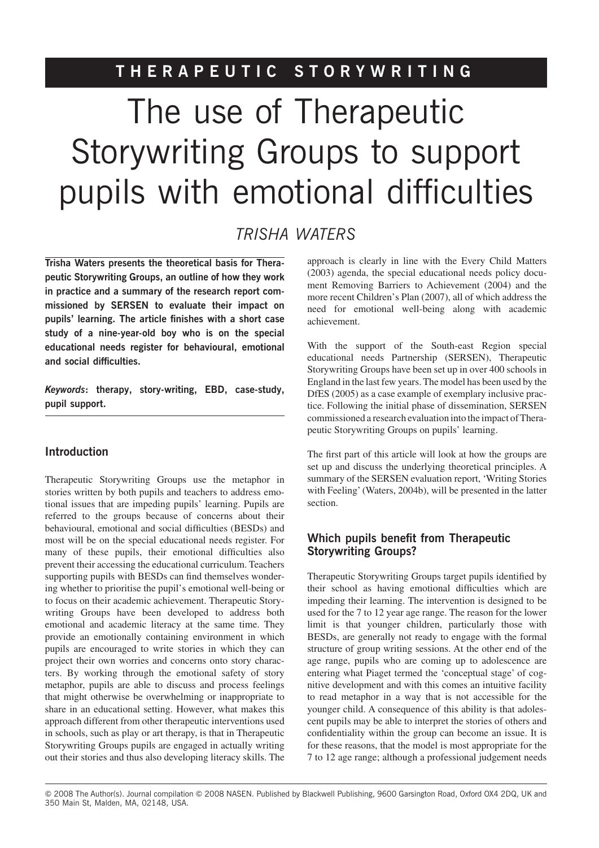## **THERAPEUTIC STORYWRITING**

# The use of Therapeutic Storywriting Groups to support pupils with emotional difficulties

### *TRISHA WATERS*

**Trisha Waters presents the theoretical basis for Therapeutic Storywriting Groups, an outline of how they work in practice and a summary of the research report commissioned by SERSEN to evaluate their impact on pupils' learning. The article finishes with a short case study of a nine-year-old boy who is on the special educational needs register for behavioural, emotional and social difficulties.**

*Keywords***: therapy, story-writing, EBD, case-study, pupil support.**

#### **Introduction**

Therapeutic Storywriting Groups use the metaphor in stories written by both pupils and teachers to address emotional issues that are impeding pupils' learning. Pupils are referred to the groups because of concerns about their behavioural, emotional and social difficulties (BESDs) and most will be on the special educational needs register. For many of these pupils, their emotional difficulties also prevent their accessing the educational curriculum. Teachers supporting pupils with BESDs can find themselves wondering whether to prioritise the pupil's emotional well-being or to focus on their academic achievement. Therapeutic Storywriting Groups have been developed to address both emotional and academic literacy at the same time. They provide an emotionally containing environment in which pupils are encouraged to write stories in which they can project their own worries and concerns onto story characters. By working through the emotional safety of story metaphor, pupils are able to discuss and process feelings that might otherwise be overwhelming or inappropriate to share in an educational setting. However, what makes this approach different from other therapeutic interventions used in schools, such as play or art therapy, is that in Therapeutic Storywriting Groups pupils are engaged in actually writing out their stories and thus also developing literacy skills. The

approach is clearly in line with the Every Child Matters (2003) agenda, the special educational needs policy document Removing Barriers to Achievement (2004) and the more recent Children's Plan (2007), all of which address the need for emotional well-being along with academic achievement.

With the support of the South-east Region special educational needs Partnership (SERSEN), Therapeutic Storywriting Groups have been set up in over 400 schools in England in the last few years. The model has been used by the DfES (2005) as a case example of exemplary inclusive practice. Following the initial phase of dissemination, SERSEN commissioned a research evaluation into the impact of Therapeutic Storywriting Groups on pupils' learning.

The first part of this article will look at how the groups are set up and discuss the underlying theoretical principles. A summary of the SERSEN evaluation report, 'Writing Stories with Feeling' (Waters, 2004b), will be presented in the latter section.

#### **Which pupils benefit from Therapeutic Storywriting Groups?**

Therapeutic Storywriting Groups target pupils identified by their school as having emotional difficulties which are impeding their learning. The intervention is designed to be used for the 7 to 12 year age range. The reason for the lower limit is that younger children, particularly those with BESDs, are generally not ready to engage with the formal structure of group writing sessions. At the other end of the age range, pupils who are coming up to adolescence are entering what Piaget termed the 'conceptual stage' of cognitive development and with this comes an intuitive facility to read metaphor in a way that is not accessible for the younger child. A consequence of this ability is that adolescent pupils may be able to interpret the stories of others and confidentiality within the group can become an issue. It is for these reasons, that the model is most appropriate for the 7 to 12 age range; although a professional judgement needs

© 2008 The Author(s). Journal compilation © 2008 NASEN. Published by Blackwell Publishing, 9600 Garsington Road, Oxford OX4 2DQ, UK and 350 Main St, Malden, MA, 02148, USA.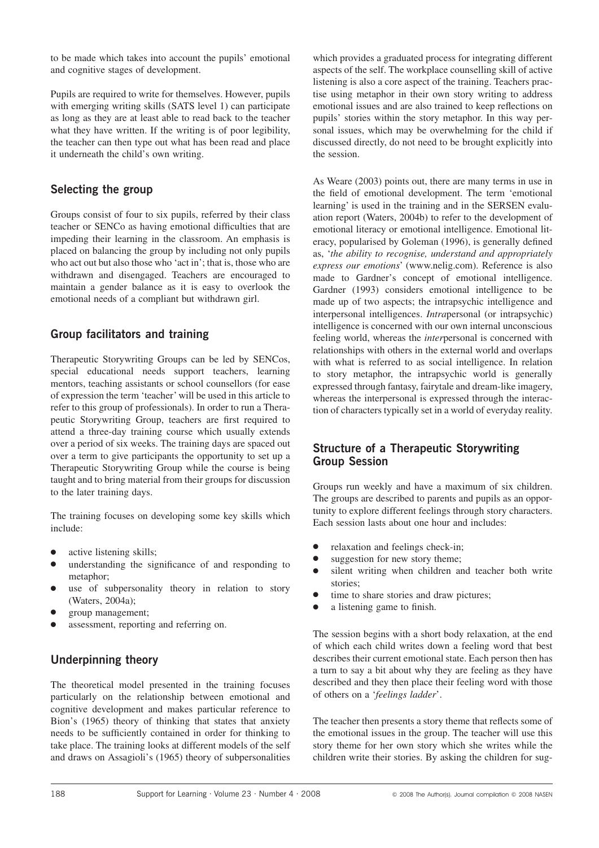to be made which takes into account the pupils' emotional and cognitive stages of development.

Pupils are required to write for themselves. However, pupils with emerging writing skills (SATS level 1) can participate as long as they are at least able to read back to the teacher what they have written. If the writing is of poor legibility, the teacher can then type out what has been read and place it underneath the child's own writing.

#### **Selecting the group**

Groups consist of four to six pupils, referred by their class teacher or SENCo as having emotional difficulties that are impeding their learning in the classroom. An emphasis is placed on balancing the group by including not only pupils who act out but also those who 'act in'; that is, those who are withdrawn and disengaged. Teachers are encouraged to maintain a gender balance as it is easy to overlook the emotional needs of a compliant but withdrawn girl.

#### **Group facilitators and training**

Therapeutic Storywriting Groups can be led by SENCos, special educational needs support teachers, learning mentors, teaching assistants or school counsellors (for ease of expression the term 'teacher' will be used in this article to refer to this group of professionals). In order to run a Therapeutic Storywriting Group, teachers are first required to attend a three-day training course which usually extends over a period of six weeks. The training days are spaced out over a term to give participants the opportunity to set up a Therapeutic Storywriting Group while the course is being taught and to bring material from their groups for discussion to the later training days.

The training focuses on developing some key skills which include:

- active listening skills;
- understanding the significance of and responding to metaphor;
- use of subpersonality theory in relation to story (Waters, 2004a);
- group management;
- assessment, reporting and referring on.

#### **Underpinning theory**

The theoretical model presented in the training focuses particularly on the relationship between emotional and cognitive development and makes particular reference to Bion's (1965) theory of thinking that states that anxiety needs to be sufficiently contained in order for thinking to take place. The training looks at different models of the self and draws on Assagioli's (1965) theory of subpersonalities

which provides a graduated process for integrating different aspects of the self. The workplace counselling skill of active listening is also a core aspect of the training. Teachers practise using metaphor in their own story writing to address emotional issues and are also trained to keep reflections on pupils' stories within the story metaphor. In this way personal issues, which may be overwhelming for the child if discussed directly, do not need to be brought explicitly into the session.

As Weare (2003) points out, there are many terms in use in the field of emotional development. The term 'emotional learning' is used in the training and in the SERSEN evaluation report (Waters, 2004b) to refer to the development of emotional literacy or emotional intelligence. Emotional literacy, popularised by Goleman (1996), is generally defined as, '*the ability to recognise, understand and appropriately express our emotions*' ([www.nelig.com](http://www.nelig.com)). Reference is also made to Gardner's concept of emotional intelligence. Gardner (1993) considers emotional intelligence to be made up of two aspects; the intrapsychic intelligence and interpersonal intelligences. *Intra*personal (or intrapsychic) intelligence is concerned with our own internal unconscious feeling world, whereas the *inter*personal is concerned with relationships with others in the external world and overlaps with what is referred to as social intelligence. In relation to story metaphor, the intrapsychic world is generally expressed through fantasy, fairytale and dream-like imagery, whereas the interpersonal is expressed through the interaction of characters typically set in a world of everyday reality.

#### **Structure of a Therapeutic Storywriting Group Session**

Groups run weekly and have a maximum of six children. The groups are described to parents and pupils as an opportunity to explore different feelings through story characters. Each session lasts about one hour and includes:

- relaxation and feelings check-in;
- suggestion for new story theme;
- silent writing when children and teacher both write stories;
- time to share stories and draw pictures;
- a listening game to finish.

The session begins with a short body relaxation, at the end of which each child writes down a feeling word that best describes their current emotional state. Each person then has a turn to say a bit about why they are feeling as they have described and they then place their feeling word with those of others on a '*feelings ladder*'.

The teacher then presents a story theme that reflects some of the emotional issues in the group. The teacher will use this story theme for her own story which she writes while the children write their stories. By asking the children for sug-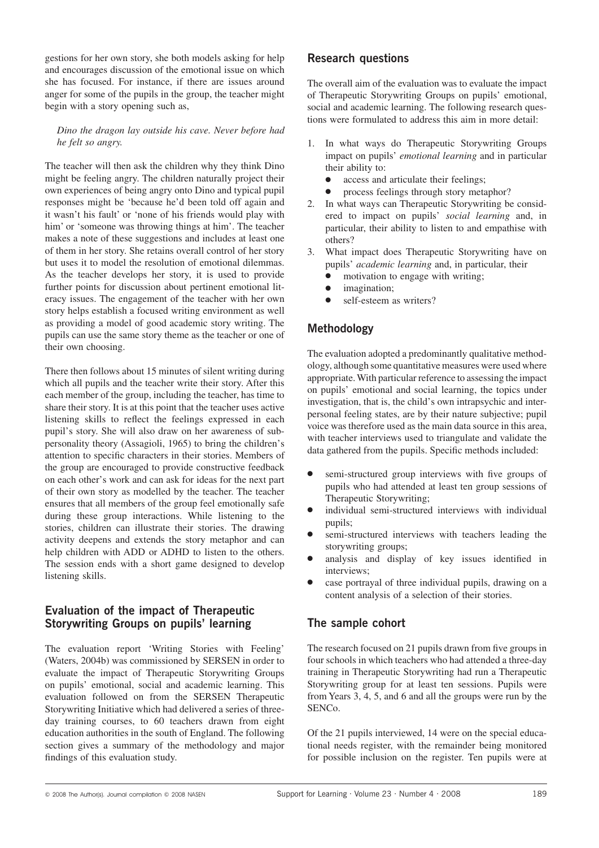gestions for her own story, she both models asking for help and encourages discussion of the emotional issue on which she has focused. For instance, if there are issues around anger for some of the pupils in the group, the teacher might begin with a story opening such as,

#### *Dino the dragon lay outside his cave. Never before had he felt so angry.*

The teacher will then ask the children why they think Dino might be feeling angry. The children naturally project their own experiences of being angry onto Dino and typical pupil responses might be 'because he'd been told off again and it wasn't his fault' or 'none of his friends would play with him' or 'someone was throwing things at him'. The teacher makes a note of these suggestions and includes at least one of them in her story. She retains overall control of her story but uses it to model the resolution of emotional dilemmas. As the teacher develops her story, it is used to provide further points for discussion about pertinent emotional literacy issues. The engagement of the teacher with her own story helps establish a focused writing environment as well as providing a model of good academic story writing. The pupils can use the same story theme as the teacher or one of their own choosing.

There then follows about 15 minutes of silent writing during which all pupils and the teacher write their story. After this each member of the group, including the teacher, has time to share their story. It is at this point that the teacher uses active listening skills to reflect the feelings expressed in each pupil's story. She will also draw on her awareness of subpersonality theory (Assagioli, 1965) to bring the children's attention to specific characters in their stories. Members of the group are encouraged to provide constructive feedback on each other's work and can ask for ideas for the next part of their own story as modelled by the teacher. The teacher ensures that all members of the group feel emotionally safe during these group interactions. While listening to the stories, children can illustrate their stories. The drawing activity deepens and extends the story metaphor and can help children with ADD or ADHD to listen to the others. The session ends with a short game designed to develop listening skills.

#### **Evaluation of the impact of Therapeutic Storywriting Groups on pupils' learning**

The evaluation report 'Writing Stories with Feeling' (Waters, 2004b) was commissioned by SERSEN in order to evaluate the impact of Therapeutic Storywriting Groups on pupils' emotional, social and academic learning. This evaluation followed on from the SERSEN Therapeutic Storywriting Initiative which had delivered a series of threeday training courses, to 60 teachers drawn from eight education authorities in the south of England. The following section gives a summary of the methodology and major findings of this evaluation study.

#### **Research questions**

The overall aim of the evaluation was to evaluate the impact of Therapeutic Storywriting Groups on pupils' emotional, social and academic learning. The following research questions were formulated to address this aim in more detail:

- 1. In what ways do Therapeutic Storywriting Groups impact on pupils' *emotional learning* and in particular their ability to:
	- access and articulate their feelings;
	- process feelings through story metaphor?
- 2. In what ways can Therapeutic Storywriting be considered to impact on pupils' *social learning* and, in particular, their ability to listen to and empathise with others?
- 3. What impact does Therapeutic Storywriting have on pupils' *academic learning* and, in particular, their
	- motivation to engage with writing;
	- imagination;
	- self-esteem as writers?

#### **Methodology**

The evaluation adopted a predominantly qualitative methodology, although some quantitative measures were used where appropriate. With particular reference to assessing the impact on pupils' emotional and social learning, the topics under investigation, that is, the child's own intrapsychic and interpersonal feeling states, are by their nature subjective; pupil voice was therefore used as the main data source in this area, with teacher interviews used to triangulate and validate the data gathered from the pupils. Specific methods included:

- semi-structured group interviews with five groups of pupils who had attended at least ten group sessions of Therapeutic Storywriting;
- individual semi-structured interviews with individual pupils;
- semi-structured interviews with teachers leading the storywriting groups;
- analysis and display of key issues identified in interviews;
- case portrayal of three individual pupils, drawing on a content analysis of a selection of their stories.

#### **The sample cohort**

The research focused on 21 pupils drawn from five groups in four schools in which teachers who had attended a three-day training in Therapeutic Storywriting had run a Therapeutic Storywriting group for at least ten sessions. Pupils were from Years 3, 4, 5, and 6 and all the groups were run by the SENCo.

Of the 21 pupils interviewed, 14 were on the special educational needs register, with the remainder being monitored for possible inclusion on the register. Ten pupils were at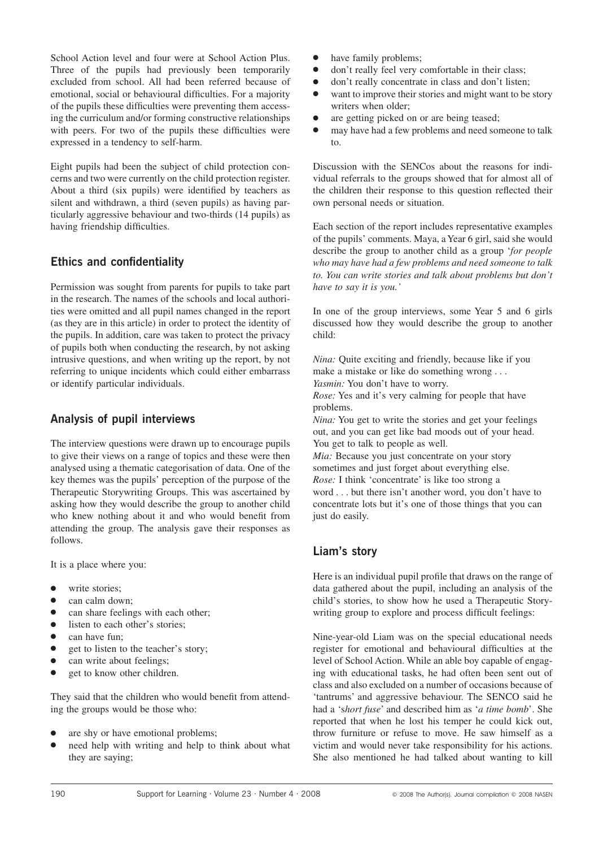School Action level and four were at School Action Plus. Three of the pupils had previously been temporarily excluded from school. All had been referred because of emotional, social or behavioural difficulties. For a majority of the pupils these difficulties were preventing them accessing the curriculum and/or forming constructive relationships with peers. For two of the pupils these difficulties were expressed in a tendency to self-harm.

Eight pupils had been the subject of child protection concerns and two were currently on the child protection register. About a third (six pupils) were identified by teachers as silent and withdrawn, a third (seven pupils) as having particularly aggressive behaviour and two-thirds (14 pupils) as having friendship difficulties.

#### **Ethics and confidentiality**

Permission was sought from parents for pupils to take part in the research. The names of the schools and local authorities were omitted and all pupil names changed in the report (as they are in this article) in order to protect the identity of the pupils. In addition, care was taken to protect the privacy of pupils both when conducting the research, by not asking intrusive questions, and when writing up the report, by not referring to unique incidents which could either embarrass or identify particular individuals.

#### **Analysis of pupil interviews**

The interview questions were drawn up to encourage pupils to give their views on a range of topics and these were then analysed using a thematic categorisation of data. One of the key themes was the pupils' perception of the purpose of the Therapeutic Storywriting Groups. This was ascertained by asking how they would describe the group to another child who knew nothing about it and who would benefit from attending the group. The analysis gave their responses as follows.

It is a place where you:

- write stories:
- can calm down;
- can share feelings with each other;
- listen to each other's stories:
- can have fun:
- get to listen to the teacher's story;
- can write about feelings;
- get to know other children.

They said that the children who would benefit from attending the groups would be those who:

- are shy or have emotional problems;
- need help with writing and help to think about what they are saying;
- have family problems;
- don't really feel very comfortable in their class;
- don't really concentrate in class and don't listen;
- want to improve their stories and might want to be story writers when older;
- are getting picked on or are being teased;
- may have had a few problems and need someone to talk to.

Discussion with the SENCos about the reasons for individual referrals to the groups showed that for almost all of the children their response to this question reflected their own personal needs or situation.

Each section of the report includes representative examples of the pupils' comments. Maya, a Year 6 girl, said she would describe the group to another child as a group '*for people who may have had a few problems and need someone to talk to. You can write stories and talk about problems but don't have to say it is you.'*

In one of the group interviews, some Year 5 and 6 girls discussed how they would describe the group to another child:

*Nina:* Quite exciting and friendly, because like if you make a mistake or like do something wrong... *Yasmin:* You don't have to worry.

*Rose:* Yes and it's very calming for people that have problems.

*Nina:* You get to write the stories and get your feelings out, and you can get like bad moods out of your head. You get to talk to people as well.

*Mia:* Because you just concentrate on your story sometimes and just forget about everything else. *Rose:* I think 'concentrate' is like too strong a word . . . but there isn't another word, you don't have to concentrate lots but it's one of those things that you can just do easily.

#### **Liam's story**

Here is an individual pupil profile that draws on the range of data gathered about the pupil, including an analysis of the child's stories, to show how he used a Therapeutic Storywriting group to explore and process difficult feelings:

Nine-year-old Liam was on the special educational needs register for emotional and behavioural difficulties at the level of School Action. While an able boy capable of engaging with educational tasks, he had often been sent out of class and also excluded on a number of occasions because of 'tantrums' and aggressive behaviour. The SENCO said he had a 's*hort fuse*' and described him as '*a time bomb*'. She reported that when he lost his temper he could kick out, throw furniture or refuse to move. He saw himself as a victim and would never take responsibility for his actions. She also mentioned he had talked about wanting to kill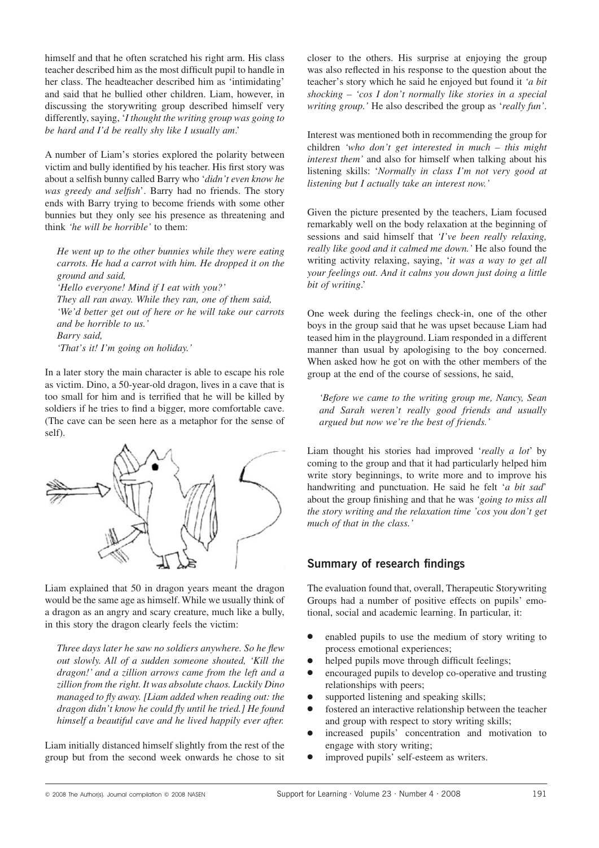himself and that he often scratched his right arm. His class teacher described him as the most difficult pupil to handle in her class. The headteacher described him as 'intimidating' and said that he bullied other children. Liam, however, in discussing the storywriting group described himself very differently, saying, '*I thought the writing group was going to be hard and I'd be really shy like I usually am*.'

A number of Liam's stories explored the polarity between victim and bully identified by his teacher. His first story was about a selfish bunny called Barry who '*didn't even know he was greedy and selfish*'. Barry had no friends. The story ends with Barry trying to become friends with some other bunnies but they only see his presence as threatening and think *'he will be horrible'* to them:

*He went up to the other bunnies while they were eating carrots. He had a carrot with him. He dropped it on the ground and said, 'Hello everyone! Mind if I eat with you?' They all ran away. While they ran, one of them said, 'We'd better get out of here or he will take our carrots and be horrible to us.' Barry said, 'That's it! I'm going on holiday.'*

In a later story the main character is able to escape his role as victim. Dino, a 50-year-old dragon, lives in a cave that is too small for him and is terrified that he will be killed by soldiers if he tries to find a bigger, more comfortable cave. (The cave can be seen here as a metaphor for the sense of self).



Liam explained that 50 in dragon years meant the dragon would be the same age as himself. While we usually think of a dragon as an angry and scary creature, much like a bully, in this story the dragon clearly feels the victim:

*Three days later he saw no soldiers anywhere. So he flew out slowly. All of a sudden someone shouted, 'Kill the dragon!' and a zillion arrows came from the left and a zillion from the right. It was absolute chaos. Luckily Dino managed to fly away. [Liam added when reading out: the dragon didn't know he could fly until he tried.] He found himself a beautiful cave and he lived happily ever after.*

Liam initially distanced himself slightly from the rest of the group but from the second week onwards he chose to sit closer to the others. His surprise at enjoying the group was also reflected in his response to the question about the teacher's story which he said he enjoyed but found it *'a bit shocking – 'cos I don't normally like stories in a special writing group.'* He also described the group as '*really fun'*.

Interest was mentioned both in recommending the group for children *'who don't get interested in much – this might interest them'* and also for himself when talking about his listening skills: '*Normally in class I'm not very good at listening but I actually take an interest now.'*

Given the picture presented by the teachers, Liam focused remarkably well on the body relaxation at the beginning of sessions and said himself that *'I've been really relaxing, really like good and it calmed me down.'* He also found the writing activity relaxing, saying, '*it was a way to get all your feelings out. And it calms you down just doing a little bit of writing*.'

One week during the feelings check-in, one of the other boys in the group said that he was upset because Liam had teased him in the playground. Liam responded in a different manner than usual by apologising to the boy concerned. When asked how he got on with the other members of the group at the end of the course of sessions, he said,

*'Before we came to the writing group me, Nancy, Sean and Sarah weren't really good friends and usually argued but now we're the best of friends.'*

Liam thought his stories had improved '*really a lot*' by coming to the group and that it had particularly helped him write story beginnings, to write more and to improve his handwriting and punctuation. He said he felt '*a bit sad*' about the group finishing and that he was *'going to miss all the story writing and the relaxation time 'cos you don't get much of that in the class.'*

#### **Summary of research findings**

The evaluation found that, overall, Therapeutic Storywriting Groups had a number of positive effects on pupils' emotional, social and academic learning. In particular, it:

- enabled pupils to use the medium of story writing to process emotional experiences;
- helped pupils move through difficult feelings;
- encouraged pupils to develop co-operative and trusting relationships with peers;
- supported listening and speaking skills;
- fostered an interactive relationship between the teacher and group with respect to story writing skills;
- increased pupils' concentration and motivation to engage with story writing;
- improved pupils' self-esteem as writers.